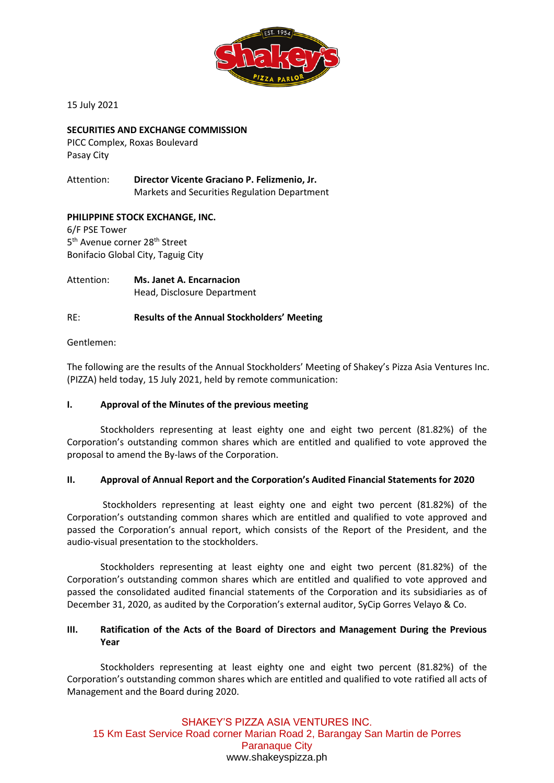

15 July 2021

# **SECURITIES AND EXCHANGE COMMISSION**

PICC Complex, Roxas Boulevard Pasay City

Attention: **Director Vicente Graciano P. Felizmenio, Jr.** Markets and Securities Regulation Department

# **PHILIPPINE STOCK EXCHANGE, INC.**

6/F PSE Tower 5<sup>th</sup> Avenue corner 28<sup>th</sup> Street Bonifacio Global City, Taguig City

Attention: **Ms. Janet A. Encarnacion** Head, Disclosure Department

# RE: **Results of the Annual Stockholders' Meeting**

Gentlemen:

The following are the results of the Annual Stockholders' Meeting of Shakey's Pizza Asia Ventures Inc. (PIZZA) held today, 15 July 2021, held by remote communication:

# **I. Approval of the Minutes of the previous meeting**

Stockholders representing at least eighty one and eight two percent (81.82%) of the Corporation's outstanding common shares which are entitled and qualified to vote approved the proposal to amend the By-laws of the Corporation.

# **II. Approval of Annual Report and the Corporation's Audited Financial Statements for 2020**

Stockholders representing at least eighty one and eight two percent (81.82%) of the Corporation's outstanding common shares which are entitled and qualified to vote approved and passed the Corporation's annual report, which consists of the Report of the President, and the audio-visual presentation to the stockholders.

Stockholders representing at least eighty one and eight two percent (81.82%) of the Corporation's outstanding common shares which are entitled and qualified to vote approved and passed the consolidated audited financial statements of the Corporation and its subsidiaries as of December 31, 2020, as audited by the Corporation's external auditor, SyCip Gorres Velayo & Co.

#### **III. Ratification of the Acts of the Board of Directors and Management During the Previous Year**

Stockholders representing at least eighty one and eight two percent (81.82%) of the Corporation's outstanding common shares which are entitled and qualified to vote ratified all acts of Management and the Board during 2020.

SHAKEY'S PIZZA ASIA VENTURES INC. 15 Km East Service Road corner Marian Road 2, Barangay San Martin de Porres Paranaque City www.shakeyspizza.ph